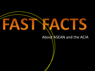#### About ASEAN and the ACIA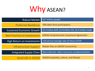

| <b>Robust Market</b>                 | 617 million people                                          |
|--------------------------------------|-------------------------------------------------------------|
| <b>Preferred Workforce</b>           | 70% labor force participation                               |
| <b>Sustained Economic Growth</b>     | \$2.3 trillion GDP, \$114 billion FDI, \$2.4 trillion trade |
| <b>Best Practices in Investments</b> | <b>ASEAN Comprehensive Investment Agreement</b>             |
| High Return on Investments           | 11% annual average rate of return of FDI                    |
| <b>Infrastructure Support</b>        | <b>Master Plan on ASEAN Connectivity</b>                    |
| <b>Integrated Supply Chain</b>       | Raw materials-labor-resources complementation               |
| <b>Good Life in ASEAN</b>            | ASEAN hospitality, culture, and lifestyle                   |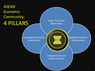### ASEAN Economic Community: 4 PILLARS

Single Production Market Base

Competitive Economic Environment

Equitable Economic Development

Integrated into the Global Economy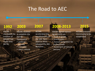#### The Road to AEC

#### **2003 1992 2007**

ASEAN mandated the creation of ASEAN Free Trade Area (AFTA)

ASEAN resolved to establish the ASEAN **Community** • politicalsecurity • economic

• socio-cultural

**ASEAN** accelerated the establishment of the AEC from 2020 to 2015; adopted the AEC **Blueprint** 

#### **2008-2013 2015**

ASEAN signed various agreements on: • trade in goods • investments • mutual recognition for

professionals • movement of natural

persons

ASEAN Economic Community to be established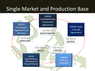## Single Market and Production Base

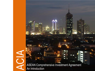# ACI<br>ACI

ASEAN Comprehensive Investment Agreement An Introduction

en de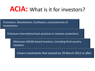# **ACIA:** What is it for investors?

Promotion, liberalisation, facilitation, and protection of investments

Embraces international best practices in investor protections

Welcomes ASEAN-based investors, including third country investors

Covers nvestments that existed on 29 March 2012 or after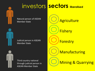

# investors **sectors liberalised**

Natural person of ASEAN Member State

Judicial person in ASEAN Member State



Third country national through judicial person in ASEAN Member State

**Agriculture Fishery Forestry Manufacturing** Mining & Quarrying